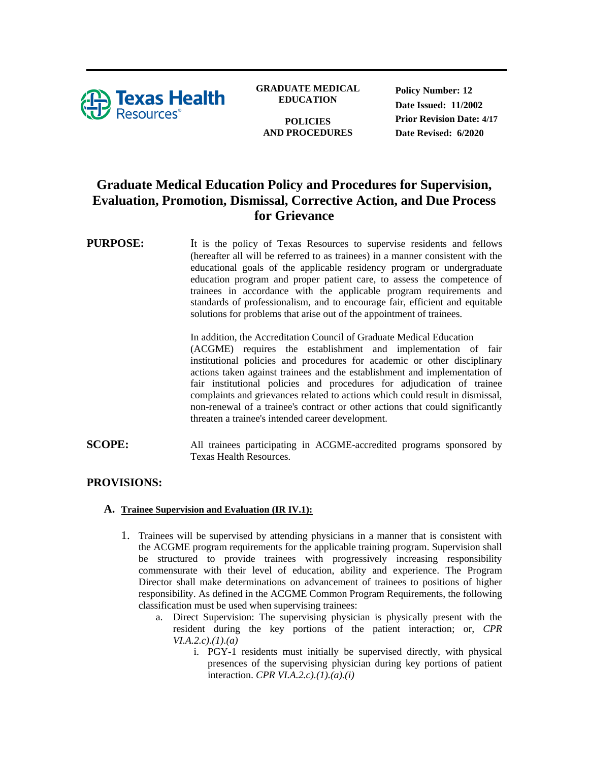

**GRADUATE MEDICAL EDUCATION**

**POLICIES AND PROCEDURES** **Policy Number: 12 Date Issued: 11/2002 Prior Revision Date: 4/17 Date Revised: 6/2020**

# **Graduate Medical Education Policy and Procedures for Supervision, Evaluation, Promotion, Dismissal, Corrective Action, and Due Process for Grievance**

## **PURPOSE:** It is the policy of Texas Resources to supervise residents and fellows (hereafter all will be referred to as trainees) in a manner consistent with the educational goals of the applicable residency program or undergraduate education program and proper patient care, to assess the competence of trainees in accordance with the applicable program requirements and standards of professionalism, and to encourage fair, efficient and equitable solutions for problems that arise out of the appointment of trainees.

In addition, the Accreditation Council of Graduate Medical Education (ACGME) requires the establishment and implementation of fair institutional policies and procedures for academic or other disciplinary actions taken against trainees and the establishment and implementation of fair institutional policies and procedures for adjudication of trainee complaints and grievances related to actions which could result in dismissal, non-renewal of a trainee's contract or other actions that could significantly threaten a trainee's intended career development.

**SCOPE:** All trainees participating in ACGME-accredited programs sponsored by Texas Health Resources.

# **PROVISIONS:**

#### **A. Trainee Supervision and Evaluation (IR IV.1):**

- 1. Trainees will be supervised by attending physicians in a manner that is consistent with the ACGME program requirements for the applicable training program. Supervision shall be structured to provide trainees with progressively increasing responsibility commensurate with their level of education, ability and experience. The Program Director shall make determinations on advancement of trainees to positions of higher responsibility. As defined in the ACGME Common Program Requirements, the following classification must be used when supervising trainees:
	- a. Direct Supervision: The supervising physician is physically present with the resident during the key portions of the patient interaction; or, *CPR VI.A.2.c).(1).(a)*
		- i. PGY-1 residents must initially be supervised directly, with physical presences of the supervising physician during key portions of patient interaction. *CPR VI.A.2.c).(1).(a).(i)*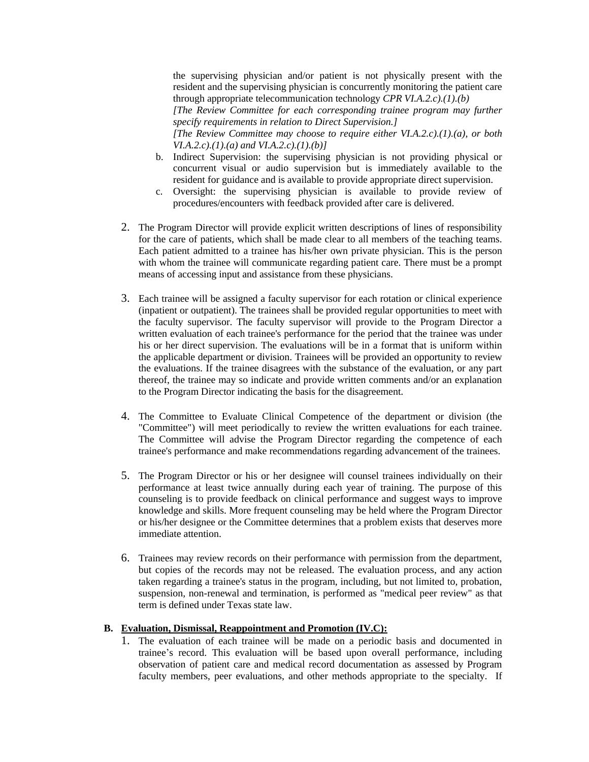the supervising physician and/or patient is not physically present with the resident and the supervising physician is concurrently monitoring the patient care through appropriate telecommunication technology *CPR VI.A.2.c).(1).(b)*

*[The Review Committee for each corresponding trainee program may further specify requirements in relation to Direct Supervision.]*

*[The Review Committee may choose to require either VI.A.2.c).(1).(a), or both VI.A.2.c).(1).(a) and VI.A.2.c).(1).(b)]*

- b. Indirect Supervision: the supervising physician is not providing physical or concurrent visual or audio supervision but is immediately available to the resident for guidance and is available to provide appropriate direct supervision.
- c. Oversight: the supervising physician is available to provide review of procedures/encounters with feedback provided after care is delivered.
- 2. The Program Director will provide explicit written descriptions of lines of responsibility for the care of patients, which shall be made clear to all members of the teaching teams. Each patient admitted to a trainee has his/her own private physician. This is the person with whom the trainee will communicate regarding patient care. There must be a prompt means of accessing input and assistance from these physicians.
- 3. Each trainee will be assigned a faculty supervisor for each rotation or clinical experience (inpatient or outpatient). The trainees shall be provided regular opportunities to meet with the faculty supervisor. The faculty supervisor will provide to the Program Director a written evaluation of each trainee's performance for the period that the trainee was under his or her direct supervision. The evaluations will be in a format that is uniform within the applicable department or division. Trainees will be provided an opportunity to review the evaluations. If the trainee disagrees with the substance of the evaluation, or any part thereof, the trainee may so indicate and provide written comments and/or an explanation to the Program Director indicating the basis for the disagreement.
- 4. The Committee to Evaluate Clinical Competence of the department or division (the "Committee") will meet periodically to review the written evaluations for each trainee. The Committee will advise the Program Director regarding the competence of each trainee's performance and make recommendations regarding advancement of the trainees.
- 5. The Program Director or his or her designee will counsel trainees individually on their performance at least twice annually during each year of training. The purpose of this counseling is to provide feedback on clinical performance and suggest ways to improve knowledge and skills. More frequent counseling may be held where the Program Director or his/her designee or the Committee determines that a problem exists that deserves more immediate attention.
- 6. Trainees may review records on their performance with permission from the department, but copies of the records may not be released. The evaluation process, and any action taken regarding a trainee's status in the program, including, but not limited to, probation, suspension, non-renewal and termination, is performed as "medical peer review" as that term is defined under Texas state law.

#### **B. Evaluation, Dismissal, Reappointment and Promotion (IV.C):**

1. The evaluation of each trainee will be made on a periodic basis and documented in trainee's record. This evaluation will be based upon overall performance, including observation of patient care and medical record documentation as assessed by Program faculty members, peer evaluations, and other methods appropriate to the specialty. If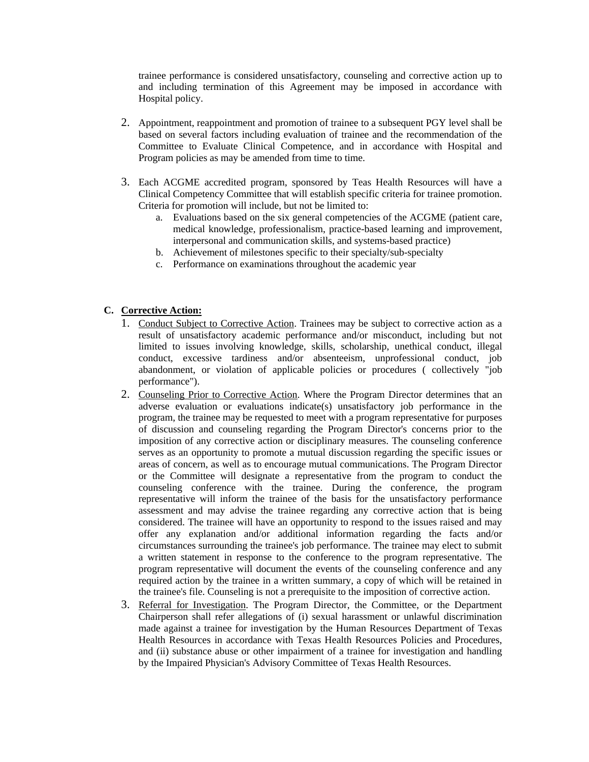trainee performance is considered unsatisfactory, counseling and corrective action up to and including termination of this Agreement may be imposed in accordance with Hospital policy.

- 2. Appointment, reappointment and promotion of trainee to a subsequent PGY level shall be based on several factors including evaluation of trainee and the recommendation of the Committee to Evaluate Clinical Competence, and in accordance with Hospital and Program policies as may be amended from time to time.
- 3. Each ACGME accredited program, sponsored by Teas Health Resources will have a Clinical Competency Committee that will establish specific criteria for trainee promotion. Criteria for promotion will include, but not be limited to:
	- a. Evaluations based on the six general competencies of the ACGME (patient care, medical knowledge, professionalism, practice-based learning and improvement, interpersonal and communication skills, and systems-based practice)
	- b. Achievement of milestones specific to their specialty/sub-specialty
	- c. Performance on examinations throughout the academic year

#### **C. Corrective Action:**

- 1. Conduct Subject to Corrective Action. Trainees may be subject to corrective action as a result of unsatisfactory academic performance and/or misconduct, including but not limited to issues involving knowledge, skills, scholarship, unethical conduct, illegal conduct, excessive tardiness and/or absenteeism, unprofessional conduct, job abandonment, or violation of applicable policies or procedures ( collectively "job performance").
- 2. Counseling Prior to Corrective Action. Where the Program Director determines that an adverse evaluation or evaluations indicate(s) unsatisfactory job performance in the program, the trainee may be requested to meet with a program representative for purposes of discussion and counseling regarding the Program Director's concerns prior to the imposition of any corrective action or disciplinary measures. The counseling conference serves as an opportunity to promote a mutual discussion regarding the specific issues or areas of concern, as well as to encourage mutual communications. The Program Director or the Committee will designate a representative from the program to conduct the counseling conference with the trainee. During the conference, the program representative will inform the trainee of the basis for the unsatisfactory performance assessment and may advise the trainee regarding any corrective action that is being considered. The trainee will have an opportunity to respond to the issues raised and may offer any explanation and/or additional information regarding the facts and/or circumstances surrounding the trainee's job performance. The trainee may elect to submit a written statement in response to the conference to the program representative. The program representative will document the events of the counseling conference and any required action by the trainee in a written summary, a copy of which will be retained in the trainee's file. Counseling is not a prerequisite to the imposition of corrective action.
- 3. Referral for Investigation. The Program Director, the Committee, or the Department Chairperson shall refer allegations of (i) sexual harassment or unlawful discrimination made against a trainee for investigation by the Human Resources Department of Texas Health Resources in accordance with Texas Health Resources Policies and Procedures, and (ii) substance abuse or other impairment of a trainee for investigation and handling by the Impaired Physician's Advisory Committee of Texas Health Resources.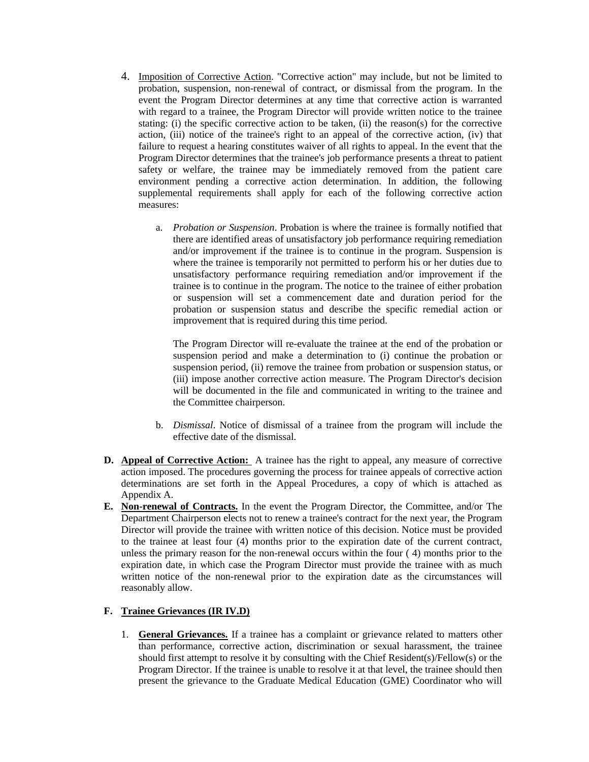- 4. Imposition of Corrective Action. "Corrective action" may include, but not be limited to probation, suspension, non-renewal of contract, or dismissal from the program. In the event the Program Director determines at any time that corrective action is warranted with regard to a trainee, the Program Director will provide written notice to the trainee stating: (i) the specific corrective action to be taken, (ii) the reason(s) for the corrective action, (iii) notice of the trainee's right to an appeal of the corrective action, (iv) that failure to request a hearing constitutes waiver of all rights to appeal. In the event that the Program Director determines that the trainee's job performance presents a threat to patient safety or welfare, the trainee may be immediately removed from the patient care environment pending a corrective action determination. In addition, the following supplemental requirements shall apply for each of the following corrective action measures:
	- a. *Probation or Suspension*. Probation is where the trainee is formally notified that there are identified areas of unsatisfactory job performance requiring remediation and/or improvement if the trainee is to continue in the program. Suspension is where the trainee is temporarily not permitted to perform his or her duties due to unsatisfactory performance requiring remediation and/or improvement if the trainee is to continue in the program. The notice to the trainee of either probation or suspension will set a commencement date and duration period for the probation or suspension status and describe the specific remedial action or improvement that is required during this time period.

The Program Director will re-evaluate the trainee at the end of the probation or suspension period and make a determination to (i) continue the probation or suspension period, (ii) remove the trainee from probation or suspension status, or (iii) impose another corrective action measure. The Program Director's decision will be documented in the file and communicated in writing to the trainee and the Committee chairperson.

- b. *Dismissal*. Notice of dismissal of a trainee from the program will include the effective date of the dismissal.
- **D. Appeal of Corrective Action:** A trainee has the right to appeal, any measure of corrective action imposed. The procedures governing the process for trainee appeals of corrective action determinations are set forth in the Appeal Procedures, a copy of which is attached as Appendix A.
- **E. Non-renewal of Contracts.** In the event the Program Director, the Committee, and/or The Department Chairperson elects not to renew a trainee's contract for the next year, the Program Director will provide the trainee with written notice of this decision. Notice must be provided to the trainee at least four (4) months prior to the expiration date of the current contract, unless the primary reason for the non-renewal occurs within the four ( 4) months prior to the expiration date, in which case the Program Director must provide the trainee with as much written notice of the non-renewal prior to the expiration date as the circumstances will reasonably allow.

## **F. Trainee Grievances (IR IV.D)**

1. **General Grievances.** If a trainee has a complaint or grievance related to matters other than performance, corrective action, discrimination or sexual harassment, the trainee should first attempt to resolve it by consulting with the Chief Resident(s)/Fellow(s) or the Program Director. If the trainee is unable to resolve it at that level, the trainee should then present the grievance to the Graduate Medical Education (GME) Coordinator who will